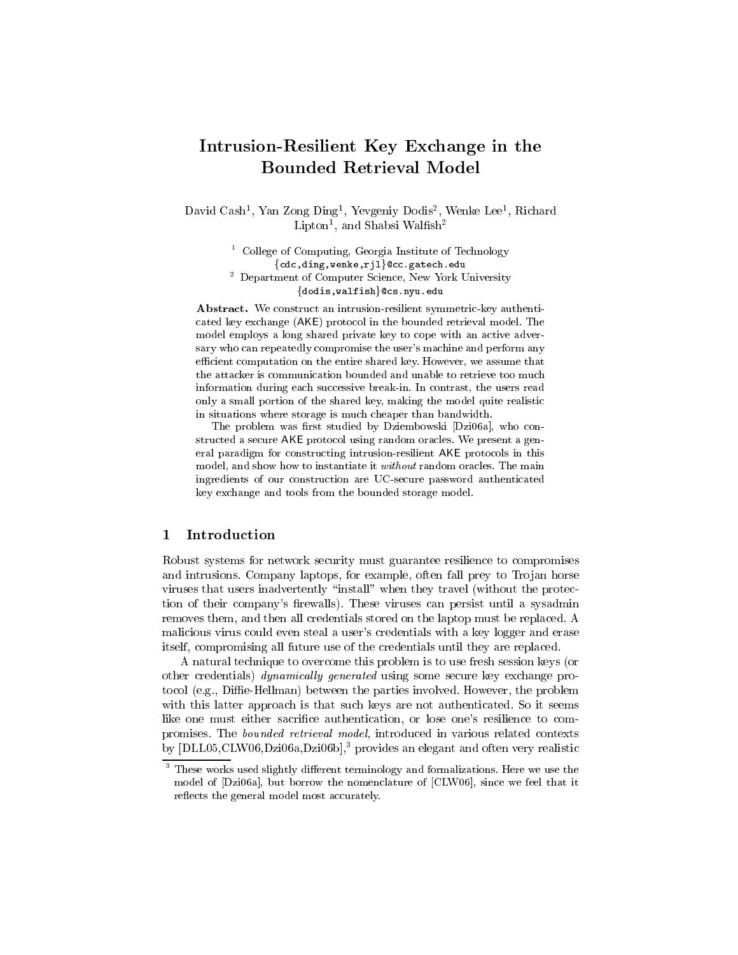# Intrusion-Resilient Key Exchange in the **Bounded Retrieval Model**

David Cash<sup>1</sup>, Yan Zong Ding<sup>1</sup>, Yevgeniy Dodis<sup>2</sup>, Wenke Lee<sup>1</sup>, Richard Lipton<sup>1</sup>, and Shabsi Walfish<sup>2</sup>

> <sup>1</sup> College of Computing, Georgia Institute of Technology {cdc,ding,wenke,rjl}@cc.gatech.edu <sup>2</sup> Department of Computer Science, New York University {dodis, walfish}@cs.nyu.edu

Abstract. We construct an intrusion-resilient symmetric-key authenticated key exchange (AKE) protocol in the bounded retrieval model. The model employs a long shared private key to cope with an active adversary who can repeatedly compromise the user's machine and perform any efficient computation on the entire shared key. However, we assume that the attacker is communication bounded and unable to retrieve too much information during each successive break-in. In contrast, the users read only a small portion of the shared key, making the model quite realistic in situations where storage is much cheaper than bandwidth.

The problem was first studied by Dziembowski [Dzi06a], who constructed a secure AKE protocol using random oracles. We present a general paradigm for constructing intrusion-resilient AKE protocols in this model, and show how to instantiate it *without* random oracles. The main ingredients of our construction are UC-secure password authenticated key exchange and tools from the bounded storage model.

### $\mathbf{1}$ Introduction

Robust systems for network security must guarantee resilience to compromises and intrusions. Company laptops, for example, often fall prey to Trojan horse viruses that users inadvertently "install" when they travel (without the protection of their company's firewalls). These viruses can persist until a sysadmin removes them, and then all credentials stored on the laptop must be replaced. A malicious virus could even steal a user's credentials with a key logger and erase itself, compromising all future use of the credentials until they are replaced.

A natural technique to overcome this problem is to use fresh session keys (or other credentials) dynamically generated using some secure key exchange protocol (e.g., Diffie-Hellman) between the parties involved. However, the problem with this latter approach is that such keys are not authenticated. So it seems like one must either sacrifice authentication, or lose one's resilience to compromises. The bounded retrieval model, introduced in various related contexts by [DLL05, CLW06, Dzi06a, Dzi06b],<sup>3</sup> provides an elegant and often very realistic

 $^3$  These works used slightly different terminology and formalizations. Here we use the model of [Dzi06a], but borrow the nomenclature of [CLW06], since we feel that it reflects the general model most accurately.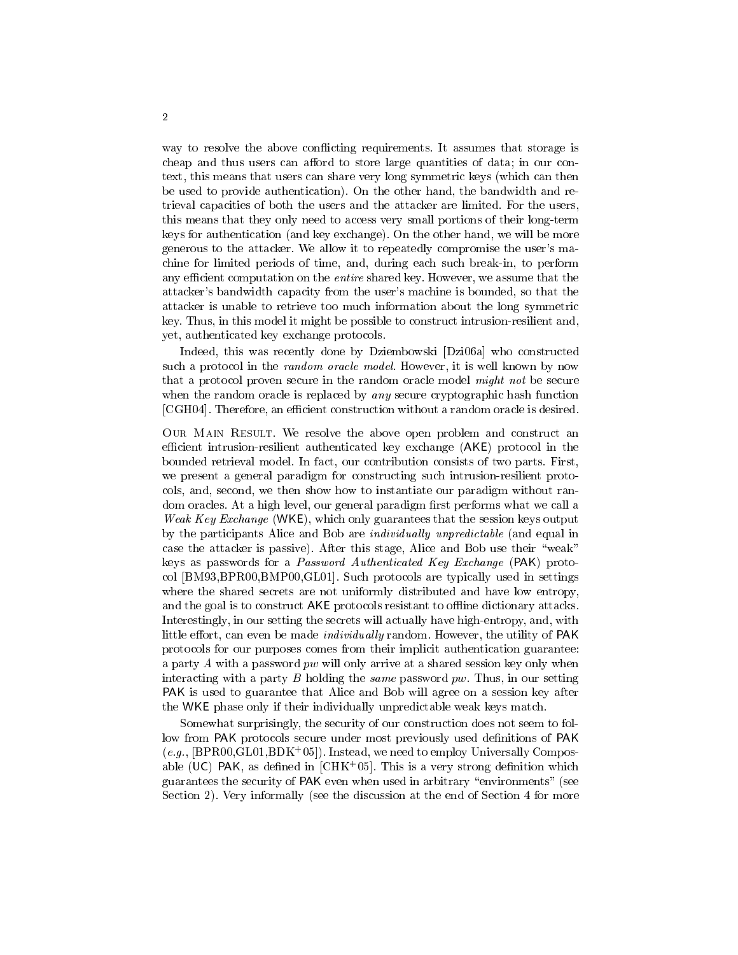way to resolve the above conflicting requirements. It assumes that storage is cheap and thus users can afford to store large quantities of data; in our context, this means that users can share very long symmetric keys (which can then be used to provide authentication). On the other hand, the bandwidth and retrieval capacities of both the users and the attacker are limited. For the users, this means that they only need to access very small portions of their long-term keys for authentication (and key exchange). On the other hand, we will be more generous to the attacker. We allow it to repeatedly compromise the user's machine for limited periods of time, and, during each such break-in, to perform any efficient computation on the entire shared key. However, we assume that the attacker's bandwidth capacity from the user's machine is bounded, so that the attacker is unable to retrieve too much information about the long symmetric key. Thus, in this model it might be possible to construct intrusion-resilient and, yet, authenticated key exchange protocols.

Indeed, this was recently done by Dziembowski [Dzi06a] who constructed such a protocol in the *random oracle model*. However, it is well known by now that a protocol proven secure in the random oracle model *might not* be secure when the random oracle is replaced by any secure cryptographic hash function [CGH04]. Therefore, an efficient construction without a random oracle is desired.

OUR MAIN RESULT. We resolve the above open problem and construct an efficient intrusion-resilient authenticated key exchange (AKE) protocol in the bounded retrieval model. In fact, our contribution consists of two parts. First, we present a general paradigm for constructing such intrusion-resilient protocols, and, second, we then show how to instantiate our paradigm without random oracles. At a high level, our general paradigm first performs what we call a *Weak Key Exchange* (WKE), which only guarantees that the session keys output by the participants Alice and Bob are *individually unpredictable* (and equal in case the attacker is passive). After this stage, Alice and Bob use their "weak" keys as passwords for a *Password Authenticated Key Exchange* (PAK) protocol [BM93,BPR00,BMP00,GL01]. Such protocols are typically used in settings where the shared secrets are not uniformly distributed and have low entropy, and the goal is to construct AKE protocols resistant to offline dictionary attacks. Interestingly, in our setting the secrets will actually have high-entropy, and, with little effort, can even be made *individually* random. However, the utility of PAK protocols for our purposes comes from their implicit authentication guarantee: a party  $A$  with a password  $pw$  will only arrive at a shared session key only when interacting with a party  $B$  holding the same password  $pw$ . Thus, in our setting PAK is used to guarantee that Alice and Bob will agree on a session key after the WKE phase only if their individually unpredictable weak keys match.

Somewhat surprisingly, the security of our construction does not seem to follow from PAK protocols secure under most previously used definitions of PAK  $(e.g., BPROO, GL01, BDK+05])$ . Instead, we need to employ Universally Composable (UC) PAK, as defined in [CHK<sup>+</sup>05]. This is a very strong definition which guarantees the security of PAK even when used in arbitrary "environments" (see Section 2). Very informally (see the discussion at the end of Section 4 for more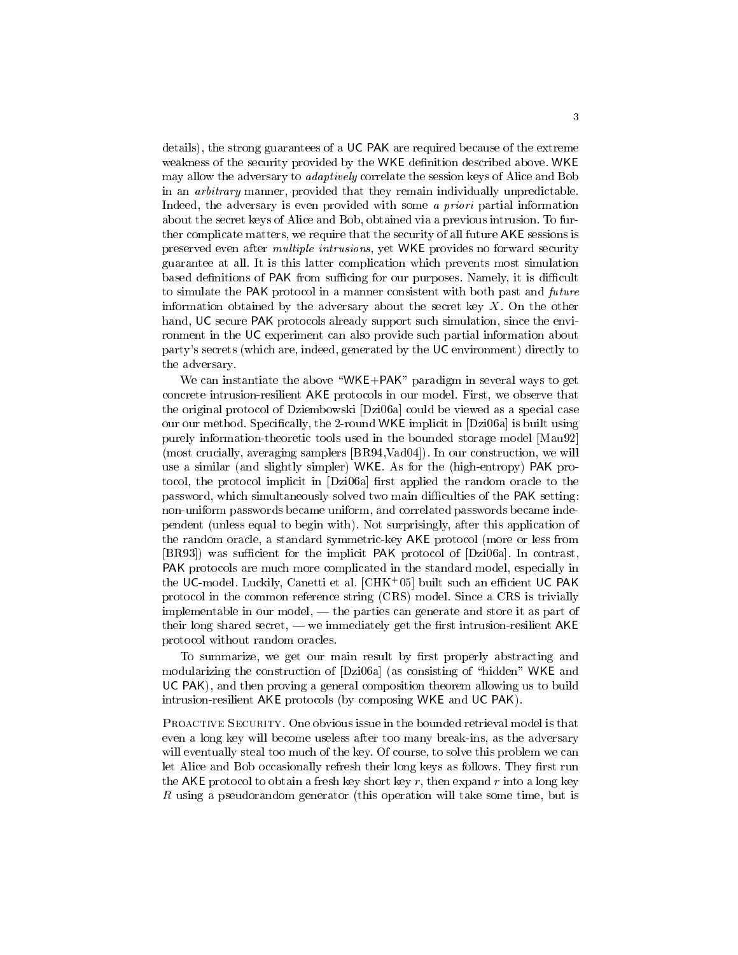details), the strong guarantees of a UC PAK are required because of the extreme weakness of the security provided by the WKE definition described above. WKE may allow the adversary to *adaptively* correlate the session keys of Alice and Bob in an *arbitrary* manner, provided that they remain individually unpredictable. Indeed, the adversary is even provided with some a priori partial information about the secret keys of Alice and Bob, obtained via a previous intrusion. To further complicate matters, we require that the security of all future AKE sessions is preserved even after *multiple intrusions*, yet WKE provides no forward security guarantee at all. It is this latter complication which prevents most simulation based definitions of PAK from sufficing for our purposes. Namely, it is difficult to simulate the PAK protocol in a manner consistent with both past and future information obtained by the adversary about the secret key  $X$ . On the other hand, UC secure PAK protocols already support such simulation, since the environment in the UC experiment can also provide such partial information about party's secrets (which are, indeed, generated by the UC environment) directly to the adversary.

We can instantiate the above "WKE+PAK" paradigm in several ways to get concrete intrusion-resilient AKE protocols in our model. First, we observe that the original protocol of Dziembowski [Dzi06a] could be viewed as a special case our our method. Specifically, the 2-round WKE implicit in [Dzi06a] is built using purely information-theoretic tools used in the bounded storage model [Mau92] (most crucially, averaging samplers [BR94,Vad04]). In our construction, we will use a similar (and slightly simpler) WKE. As for the (high-entropy) PAK protocol, the protocol implicit in [Dzi06a] first applied the random oracle to the password, which simultaneously solved two main difficulties of the PAK setting: non-uniform passwords became uniform, and correlated passwords became independent (unless equal to begin with). Not surprisingly, after this application of the random oracle, a standard symmetric-key AKE protocol (more or less from [BR93]) was sufficient for the implicit PAK protocol of [Dzi06a]. In contrast, PAK protocols are much more complicated in the standard model, especially in the UC-model. Luckily, Canetti et al. [CHK+05] built such an efficient UC PAK protocol in the common reference string (CRS) model. Since a CRS is trivially implementable in our model,  $-$  the parties can generate and store it as part of their long shared secret,  $-\omega$  immediately get the first intrusion-resilient  $AKE$ protocol without random oracles.

To summarize, we get our main result by first properly abstracting and modularizing the construction of [Dzi06a] (as consisting of "hidden" WKE and UC PAK), and then proving a general composition theorem allowing us to build intrusion-resilient AKE protocols (by composing WKE and UC PAK).

PROACTIVE SECURITY. One obvious issue in the bounded retrieval model is that even a long key will become useless after too many break-ins, as the adversary will eventually steal too much of the key. Of course, to solve this problem we can let Alice and Bob occasionally refresh their long keys as follows. They first run the AKE protocol to obtain a fresh key short key  $r$ , then expand  $r$  into a long key R using a pseudorandom generator (this operation will take some time, but is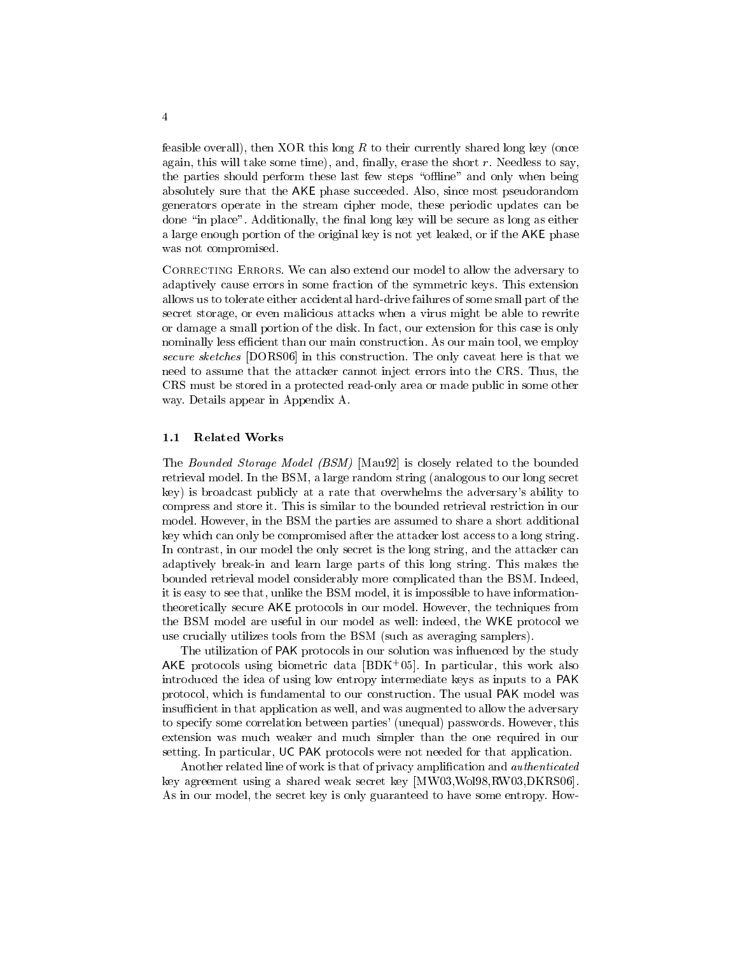feasible overall), then XOR this long R to their currently shared long key (once again, this will take some time), and, finally, erase the short  $r$ . Needless to say, the parties should perform these last few steps "offline" and only when being absolutely sure that the AKE phase succeeded. Also, since most pseudorandom generators operate in the stream cipher mode, these periodic updates can be done "in place". Additionally, the final long key will be secure as long as either a large enough portion of the original key is not yet leaked, or if the AKE phase was not compromised.

CORRECTING ERRORS. We can also extend our model to allow the adversary to adaptively cause errors in some fraction of the symmetric keys. This extension allows us to tolerate either accidental hard-drive failures of some small part of the secret storage, or even malicious attacks when a virus might be able to rewrite or damage a small portion of the disk. In fact, our extension for this case is only nominally less efficient than our main construction. As our main tool, we employ secure sketches [DORS06] in this construction. The only caveat here is that we need to assume that the attacker cannot inject errors into the CRS. Thus, the CRS must be stored in a protected read-only area or made public in some other way. Details appear in Appendix A.

#### $1.1$ **Related Works**

The Bounded Storage Model (BSM) [Mau92] is closely related to the bounded retrieval model. In the BSM, a large random string (analogous to our long secret key) is broadcast publicly at a rate that overwhelms the adversary's ability to compress and store it. This is similar to the bounded retrieval restriction in our model. However, in the BSM the parties are assumed to share a short additional key which can only be compromised after the attacker lost access to a long string. In contrast, in our model the only secret is the long string, and the attacker can adaptively break-in and learn large parts of this long string. This makes the bounded retrieval model considerably more complicated than the BSM. Indeed, it is easy to see that, unlike the BSM model, it is impossible to have informationtheoretically secure AKE protocols in our model. However, the techniques from the BSM model are useful in our model as well: indeed, the WKE protocol we use crucially utilizes tools from the BSM (such as averaging samplers).

The utilization of PAK protocols in our solution was influenced by the study AKE protocols using biometric data [BDK+05]. In particular, this work also introduced the idea of using low entropy intermediate keys as inputs to a PAK protocol, which is fundamental to our construction. The usual PAK model was insufficient in that application as well, and was augmented to allow the adversary to specify some correlation between parties' (unequal) passwords. However, this extension was much weaker and much simpler than the one required in our setting. In particular, UC PAK protocols were not needed for that application.

Another related line of work is that of privacy amplification and *authenticated* key agreement using a shared weak secret key [MW03, Wol98, RW03, DKRS06]. As in our model, the secret key is only guaranteed to have some entropy. How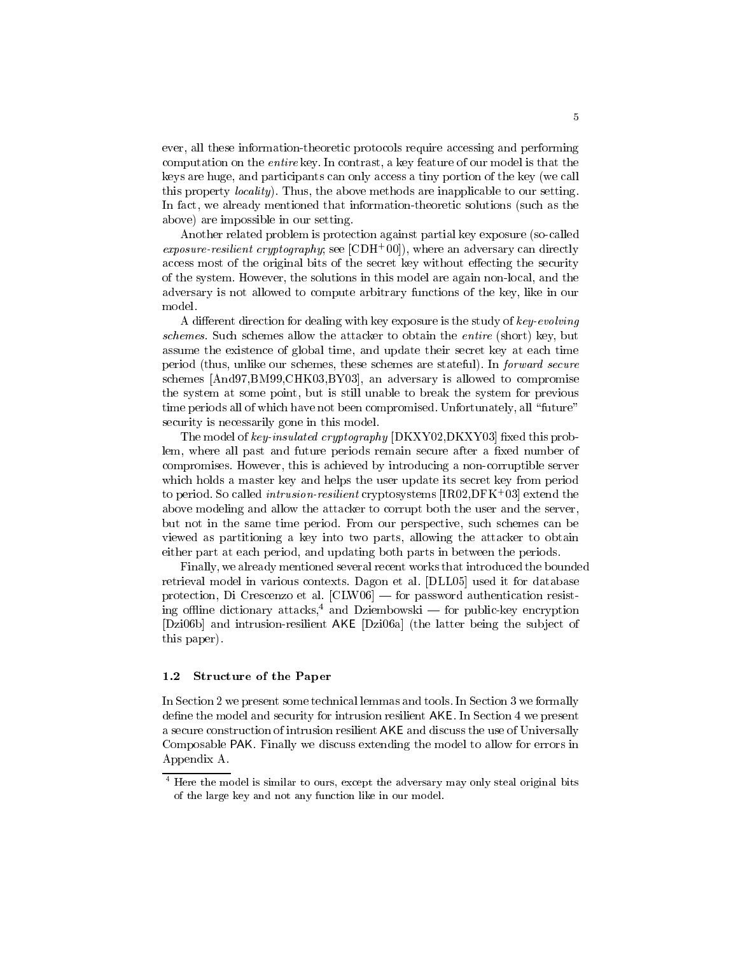ever, all these information-theoretic protocols require accessing and performing computation on the *entire* key. In contrast, a key feature of our model is that the keys are huge, and participants can only access a tiny portion of the key (we call this property locality). Thus, the above methods are inapplicable to our setting. In fact, we already mentioned that information-theoretic solutions (such as the above) are impossible in our setting.

Another related problem is protection against partial key exposure (so-called exposure-resilient cryptography; see  $[CDH^+00]$ , where an adversary can directly access most of the original bits of the secret key without effecting the security of the system. However, the solutions in this model are again non-local, and the adversary is not allowed to compute arbitrary functions of the key, like in our model.

A different direction for dealing with key exposure is the study of key-evolving schemes. Such schemes allow the attacker to obtain the entire (short) key, but assume the existence of global time, and update their secret key at each time period (thus, unlike our schemes, these schemes are stateful). In forward secure schemes [And97,BM99,CHK03,BY03], an adversary is allowed to compromise the system at some point, but is still unable to break the system for previous time periods all of which have not been compromised. Unfortunately, all "future" security is necessarily gone in this model.

The model of key-insulated cryptography [DKXY02,DKXY03] fixed this problem, where all past and future periods remain secure after a fixed number of compromises. However, this is achieved by introducing a non-corruptible server which holds a master key and helps the user update its secret key from period to period. So called *intrusion-resilient* cryptosystems  $[IR02,DFK+03]$  extend the above modeling and allow the attacker to corrupt both the user and the server, but not in the same time period. From our perspective, such schemes can be viewed as partitioning a key into two parts, allowing the attacker to obtain either part at each period, and updating both parts in between the periods.

Finally, we already mentioned several recent works that introduced the bounded retrieval model in various contexts. Dagon et al. [DLL05] used it for database protection, Di Crescenzo et al. [CLW06] – for password authentication resisting offline dictionary attacks,<sup>4</sup> and Dziembowski  $-$  for public-key encryption [Dzi06b] and intrusion-resilient AKE [Dzi06a] (the latter being the subject of this paper).

#### 1.2 **Structure of the Paper**

In Section 2 we present some technical lemmas and tools. In Section 3 we formally define the model and security for intrusion resilient AKE. In Section 4 we present a secure construction of intrusion resilient AKE and discuss the use of Universally Composable PAK. Finally we discuss extending the model to allow for errors in Appendix A.

<sup>&</sup>lt;sup>4</sup> Here the model is similar to ours, except the adversary may only steal original bits of the large key and not any function like in our model.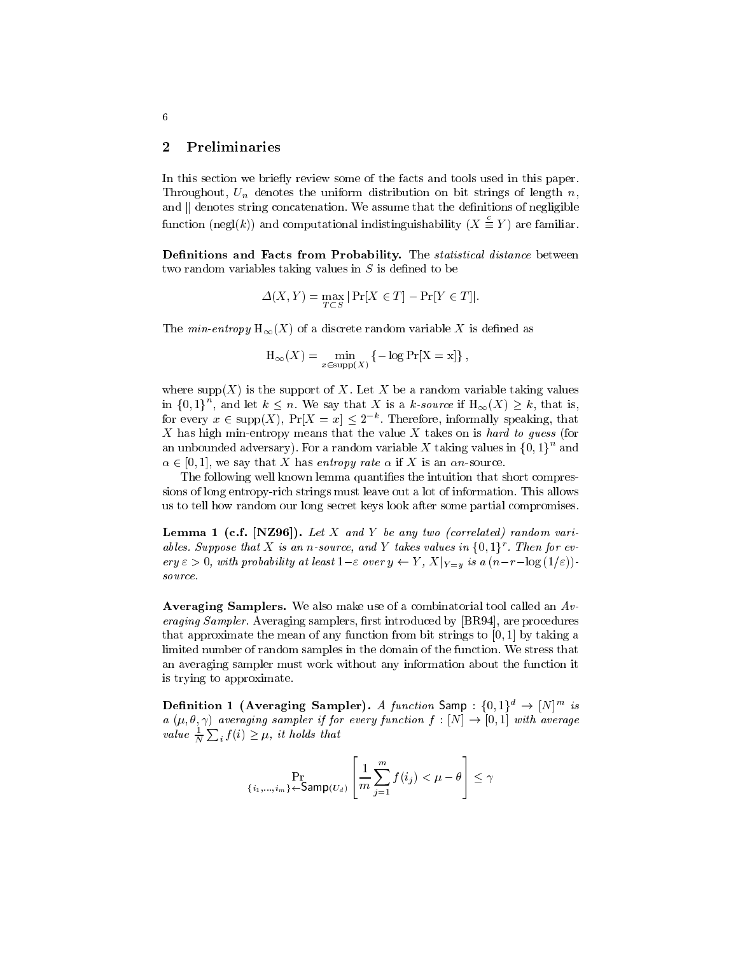#### Preliminaries  $\overline{2}$

In this section we briefly review some of the facts and tools used in this paper. Throughout,  $U_n$  denotes the uniform distribution on bit strings of length  $n$ , and || denotes string concatenation. We assume that the definitions of negligible function (negl(k)) and computational indistinguishability  $(X \leq Y)$  are familiar.

Definitions and Facts from Probability. The *statistical distance* between two random variables taking values in  $S$  is defined to be

$$
\Delta(X, Y) = \max_{T \subset S} |\Pr[X \in T] - \Pr[Y \in T]|.
$$

The min-entropy  $H_{\infty}(X)$  of a discrete random variable X is defined as

$$
H_{\infty}(X) = \min_{x \in \text{supp}(X)} \left\{-\log \Pr[X = x]\right\},\,
$$

where supp $(X)$  is the support of X. Let X be a random variable taking values in  ${0,1}^n$ , and let  $k \leq n$ . We say that X is a k-source if  $H_\infty(X) \geq k$ , that is, for every  $x \in \text{supp}(X)$ ,  $Pr[X = x] \leq 2^{-k}$ . Therefore, informally speaking, that  $X$  has high min-entropy means that the value  $X$  takes on is hard to guess (for an unbounded adversary). For a random variable X taking values in  ${0,1}^n$  and  $\alpha \in [0,1]$ , we say that X has entropy rate  $\alpha$  if X is an  $\alpha n$ -source.

The following well known lemma quantifies the intuition that short compressions of long entropy-rich strings must leave out a lot of information. This allows us to tell how random our long secret keys look after some partial compromises.

**Lemma 1 (c.f. [NZ96]).** Let X and Y be any two (correlated) random variables. Suppose that X is an n-source, and Y takes values in  $\{0,1\}^r$ . Then for every  $\varepsilon > 0$ , with probability at least  $1-\varepsilon$  over  $y \leftarrow Y$ ,  $X|_{Y=y}$  is a  $(n-r-\log(1/\varepsilon))$ .  $source.$ 

**Averaging Samplers.** We also make use of a combinatorial tool called an Averaging Sampler. Averaging samplers, first introduced by [BR94], are procedures that approximate the mean of any function from bit strings to  $[0,1]$  by taking a limited number of random samples in the domain of the function. We stress that an averaging sampler must work without any information about the function it is trying to approximate.

**Definition 1 (Averaging Sampler).** A function Samp:  $\{0,1\}^d \rightarrow [N]^m$  is a  $(\mu, \theta, \gamma)$  averaging sampler if for every function  $f : [N] \to [0,1]$  with average value  $\frac{1}{N} \sum_i f(i) \geq \mu$ , it holds that

$$
\Pr_{\{i_1,\ldots,i_m\}\leftarrow \mathsf{Samp}(U_d)}\left[\frac{1}{m}\sum_{j=1}^m f(i_j) < \mu - \theta\right] \leq \gamma
$$

 $\,6$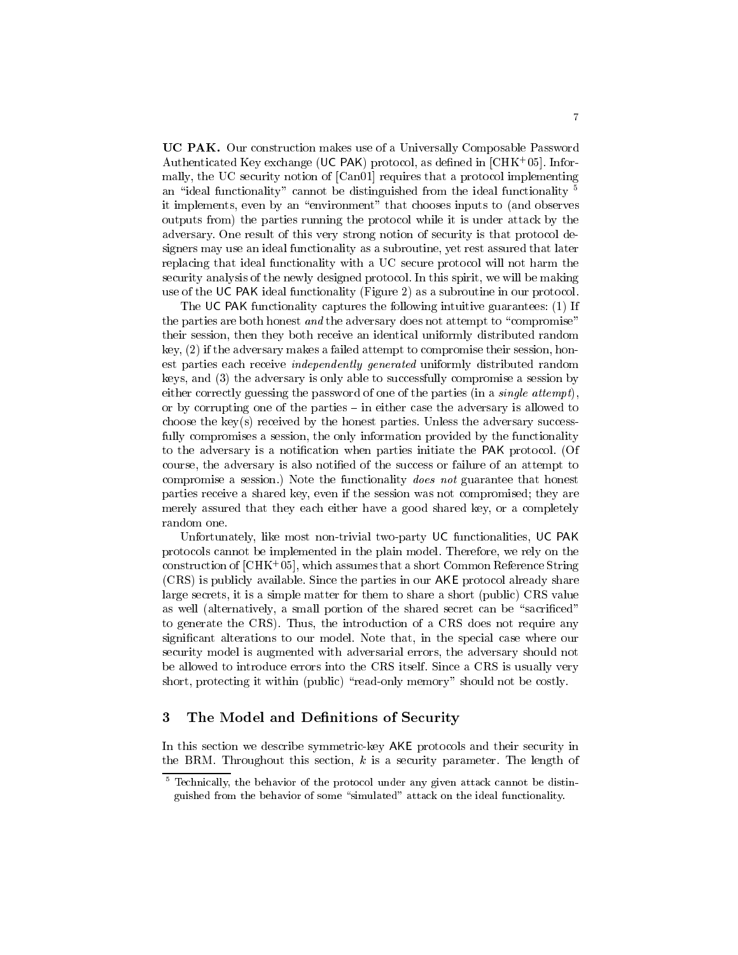**UC PAK.** Our construction makes use of a Universally Composable Password Authenticated Key exchange (UC PAK) protocol, as defined in  $\text{[CHK}^+05]$ . Informally, the UC security notion of [Can01] requires that a protocol implementing an "ideal functionality" cannot be distinguished from the ideal functionality it implements, even by an "environment" that chooses inputs to (and observes outputs from) the parties running the protocol while it is under attack by the adversary. One result of this very strong notion of security is that protocol designers may use an ideal functionality as a subroutine, yet rest assured that later replacing that ideal functionality with a UC secure protocol will not harm the security analysis of the newly designed protocol. In this spirit, we will be making use of the UC PAK ideal functionality (Figure 2) as a subroutine in our protocol.

The UC PAK functionality captures the following intuitive guarantees: (1) If the parties are both honest and the adversary does not attempt to "compromise" their session, then they both receive an identical uniformly distributed random key, (2) if the adversary makes a failed attempt to compromise their session, honest parties each receive *independently generated* uniformly distributed random keys, and (3) the adversary is only able to successfully compromise a session by either correctly guessing the password of one of the parties (in a *single attempt*), or by corrupting one of the parties  $-$  in either case the adversary is allowed to choose the key(s) received by the honest parties. Unless the adversary successfully compromises a session, the only information provided by the functionality to the adversary is a notification when parties initiate the PAK protocol. (Of course, the adversary is also notified of the success or failure of an attempt to compromise a session.) Note the functionality *does not* guarantee that honest parties receive a shared key, even if the session was not compromised; they are merely assured that they each either have a good shared key, or a completely random one.

Unfortunately, like most non-trivial two-party UC functionalities, UC PAK protocols cannot be implemented in the plain model. Therefore, we rely on the construction of  $\left[CHK^+05\right]$ , which assumes that a short Common Reference String (CRS) is publicly available. Since the parties in our AKE protocol already share large secrets, it is a simple matter for them to share a short (public) CRS value as well (alternatively, a small portion of the shared secret can be "sacrificed" to generate the CRS). Thus, the introduction of a CRS does not require any significant alterations to our model. Note that, in the special case where our security model is augmented with adversarial errors, the adversary should not be allowed to introduce errors into the CRS itself. Since a CRS is usually very short, protecting it within (public) "read-only memory" should not be costly.

### 3 The Model and Definitions of Security

In this section we describe symmetric-key AKE protocols and their security in the BRM. Throughout this section,  $k$  is a security parameter. The length of

<sup>&</sup>lt;sup>5</sup> Technically, the behavior of the protocol under any given attack cannot be distinguished from the behavior of some "simulated" attack on the ideal functionality.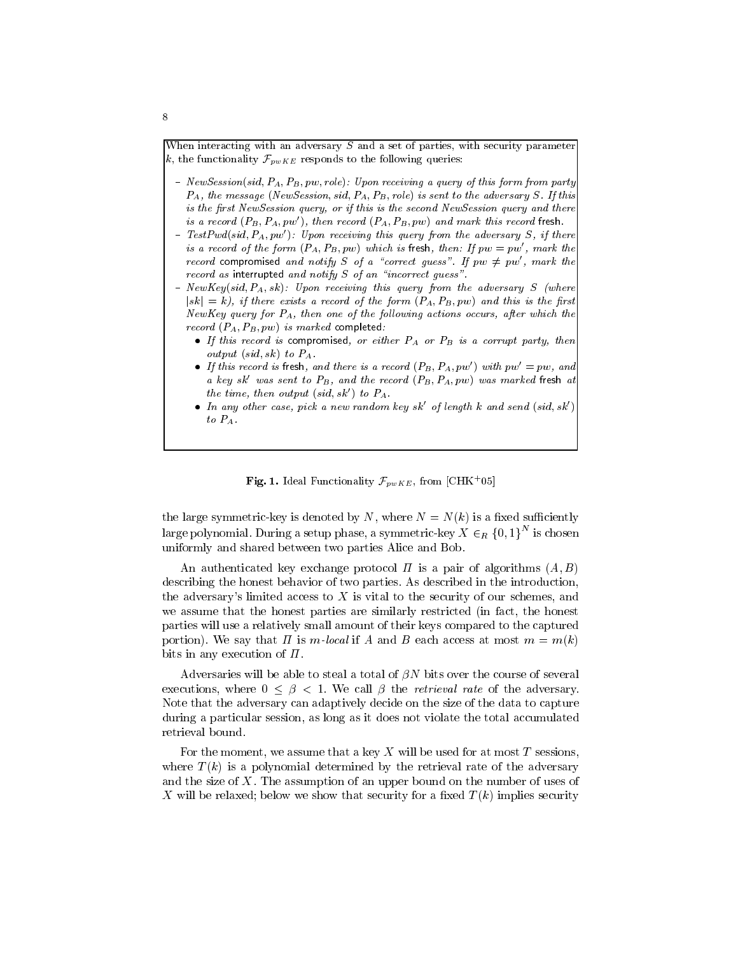When interacting with an adversary  $S$  and a set of parties, with security parameter k, the functionality  $\mathcal{F}_{pwKE}$  responds to the following queries:

- New Session(sid,  $P_A$ ,  $P_B$ , pw, role): Upon receiving a query of this form from party  $P_A$ , the message (NewSession, sid,  $P_A$ ,  $P_B$ , role) is sent to the adversary S. If this is the first NewSession query, or if this is the second NewSession query and there is a record  $(P_B, P_A, pw')$ , then record  $(P_A, P_B, pw)$  and mark this record fresh.
- TestPwd(sid,  $P_A, pw'$ ): Upon receiving this query from the adversary S, if there is a record of the form  $(P_A, P_B, pw)$  which is fresh, then: If  $pw = pw'$ , mark the record compromised and notify S of a "correct guess". If  $pw \neq pw'$ , mark the record as interrupted and notify S of an "incorrect guess".
- NewKey(sid,  $P_A$ , sk): Upon receiving this query from the adversary S (where  $|sk| = k$ , if there exists a record of the form  $(P_A, P_B, pw)$  and this is the first NewKey query for  $P_A$ , then one of the following actions occurs, after which the *record*  $(P_A, P_B, pw)$  *is marked* completed:
	- If this record is compromised, or either  $P_A$  or  $P_B$  is a corrupt party, then output  $(sid, sk)$  to  $P_A$ .
	- If this record is fresh, and there is a record  $(P_B, P_A, pw')$  with  $pw' = pw$ , and a key sk' was sent to  $P_B$ , and the record  $(P_B, P_A, pw)$  was marked fresh at the time, then output  $(sid, sk')$  to  $P_A$ .
	- In any other case, pick a new random key sk' of length k and send (sid, sk') to  $P_A$ .

Fig. 1. Ideal Functionality  $\mathcal{F}_{pwKE}$ , from [CHK<sup>+</sup>05]

the large symmetric-key is denoted by N, where  $N = N(k)$  is a fixed sufficiently large polynomial. During a setup phase, a symmetric-key  $X \in_R \{0,1\}^N$  is chosen uniformly and shared between two parties Alice and Bob.

An authenticated key exchange protocol  $\Pi$  is a pair of algorithms  $(A, B)$ describing the honest behavior of two parties. As described in the introduction, the adversary's limited access to  $X$  is vital to the security of our schemes, and we assume that the honest parties are similarly restricted (in fact, the honest parties will use a relatively small amount of their keys compared to the captured portion). We say that  $\Pi$  is m-local if A and B each access at most  $m = m(k)$ bits in any execution of  $\Pi$ .

Adversaries will be able to steal a total of  $\beta N$  bits over the course of several executions, where  $0 \leq \beta < 1$ . We call  $\beta$  the *retrieval rate* of the adversary. Note that the adversary can adaptively decide on the size of the data to capture during a particular session, as long as it does not violate the total accumulated retrieval bound.

For the moment, we assume that a key  $X$  will be used for at most  $T$  sessions, where  $T(k)$  is a polynomial determined by the retrieval rate of the adversary and the size of  $X$ . The assumption of an upper bound on the number of uses of X will be relaxed; below we show that security for a fixed  $T(k)$  implies security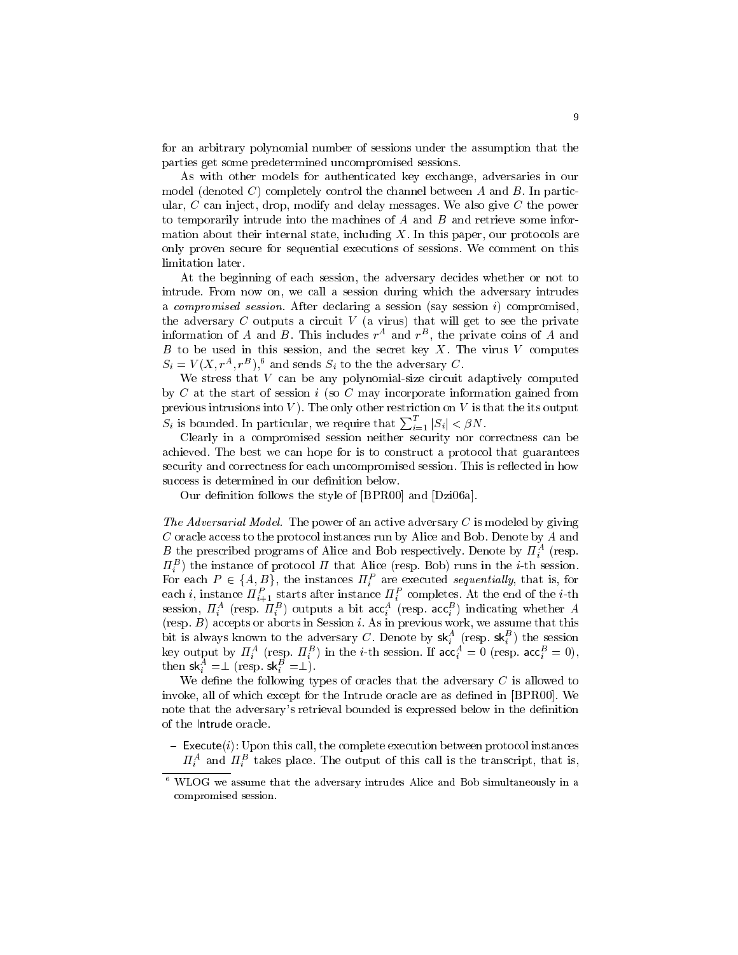for an arbitrary polynomial number of sessions under the assumption that the parties get some predetermined uncompromised sessions.

As with other models for authenticated key exchange, adversaries in our model (denoted  $C$ ) completely control the channel between  $A$  and  $B$ . In particular,  $C$  can inject, drop, modify and delay messages. We also give  $C$  the power to temporarily intrude into the machines of  $A$  and  $B$  and retrieve some information about their internal state, including  $X$ . In this paper, our protocols are only proven secure for sequential executions of sessions. We comment on this limitation later.

At the beginning of each session, the adversary decides whether or not to intrude. From now on, we call a session during which the adversary intrudes a compromised session. After declaring a session (say session i) compromised, the adversary C outputs a circuit  $V$  (a virus) that will get to see the private information of A and B. This includes  $r^A$  and  $r^B$ , the private coins of A and  $B$  to be used in this session, and the secret key  $X$ . The virus  $V$  computes  $S_i = V(X, r^A, r^B)$ , and sends  $S_i$  to the the adversary C.

We stress that  $V$  can be any polynomial-size circuit adaptively computed by C at the start of session i (so C may incorporate information gained from previous intrusions into  $V$ ). The only other restriction on  $V$  is that the its output  $S_i$  is bounded. In particular, we require that  $\sum_{i=1}^T |S_i| < \beta N$ .

Clearly in a compromised session neither security nor correctness can be achieved. The best we can hope for is to construct a protocol that guarantees security and correctness for each uncompromised session. This is reflected in how success is determined in our definition below.

Our definition follows the style of [BPR00] and [Dzi06a].

The Adversarial Model. The power of an active adversary  $C$  is modeled by giving  $C$  oracle access to the protocol instances run by Alice and Bob. Denote by  $A$  and B the prescribed programs of Alice and Bob respectively. Denote by  $\Pi_i^A$  (resp.  $\Pi_i^B$ ) the instance of protocol  $\Pi$  that Alice (resp. Bob) runs in the *i*-th session. For each  $P \in \{A, B\}$ , the instances  $\Pi_i^P$  are executed *sequentially*, that is, for each *i*, instance  $\Pi_{i+1}^P$  starts after instance  $\Pi_i^P$  completes. At the end of the *i*-th session,  $\Pi_i^A$  (resp.  $\Pi_i^B$ ) outputs a bit  $\operatorname{acc}_i^A$  (resp.  $\operatorname{acc}_i^B$ ) indicating whether A (resp.  $H_i$  (resp.  $H_i$ ) onephos a bit acc<sub>i</sub> (resp. acc<sub>i</sub>) indicating whether  $H$ <br>(resp.  $B$ ) accepts or aborts in Session *i*. As in previous work, we assume that this<br>bit is always known to the adversary  $C$ . Denote b

We define the following types of oracles that the adversary  $C$  is allowed to invoke, all of which except for the Intrude oracle are as defined in [BPR00]. We note that the adversary's retrieval bounded is expressed below in the definition of the Intrude oracle.

 $-$  Execute(i): Upon this call, the complete execution between protocol instances  $\Pi_i^A$  and  $\Pi_i^B$  takes place. The output of this call is the transcript, that is,

 $6$  WLOG we assume that the adversary intrudes Alice and Bob simultaneously in a compromised session.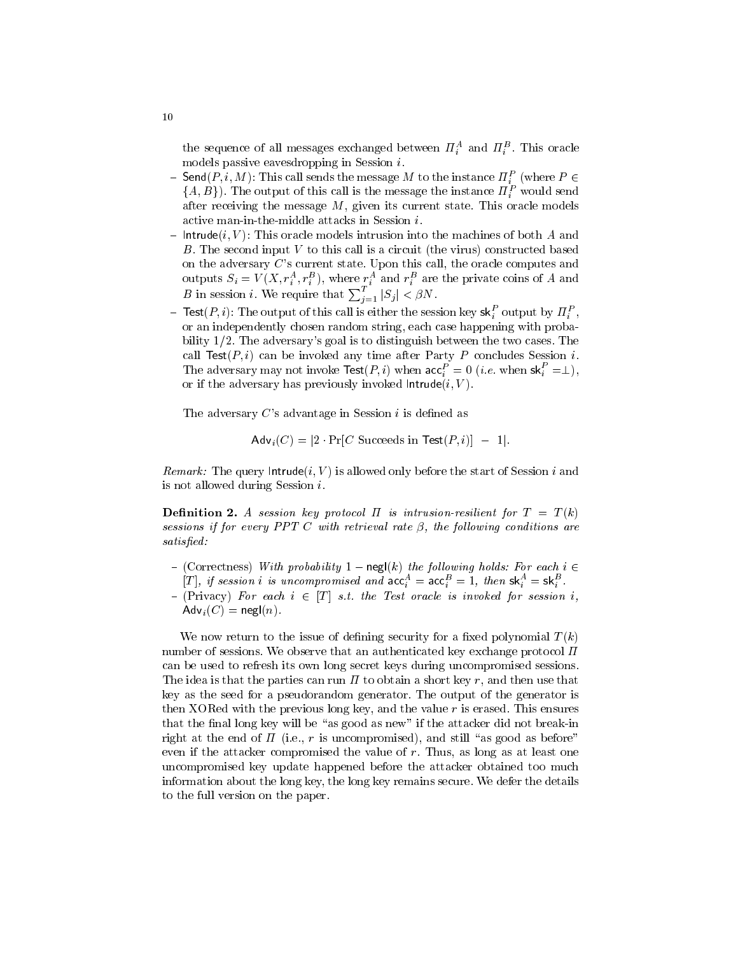the sequence of all messages exchanged between  $\Pi_i^A$  and  $\Pi_i^B$ . This oracle models passive eavesdropping in Session  $i$ .

- $-$  Send $(P, i, M)$ : This call sends the message M to the instance  $\Pi_i^P$  (where  $P \in$  $\overrightarrow{A}, \overrightarrow{B}$ ). The output of this call is the message the instance  $\Pi_i^{\,p}$  would send after receiving the message  $M$ , given its current state. This oracle models active man-in-the-middle attacks in Session  $i$ .
- $Intude(i, V)$ : This oracle models intrusion into the machines of both A and B. The second input V to this call is a circuit (the virus) constructed based on the adversary C's current state. Upon this call, the oracle computes and outputs  $S_i = V(X, r_i^A, r_i^B)$ , where  $r_i^A$  and  $r_i^B$  are the private coins of A and B in session *i*. We require that  $\sum_{j=1}^T |S_j| < \beta N$ .
- Test(P, i): The output of this call is either the session key sk<sup>P</sup> output by  $\Pi_i^P$ . or an independently chosen random string, each case happening with probability  $1/2$ . The adversary's goal is to distinguish between the two cases. The call  $Test(P, i)$  can be invoked any time after Party P concludes Session i. The adversary may not invoke  $\textsf{Test}(P, i)$  when  $\textsf{acc}_i^{P} = 0$  (*i.e.* when  $\textsf{sk}_i^{P} = \perp$ ), or if the adversary has previously invoked  $Intude(i, V)$ .

The adversary  $C$ 's advantage in Session i is defined as

 $\mathsf{Adv}_i(C) = [2 \cdot \Pr[C \text{ succeeds in Test}(P, i)] - 1].$ 

*Remark:* The query lntrude $(i, V)$  is allowed only before the start of Session i and is not allowed during Session  $i$ .

**Definition 2.** A session key protocol  $\Pi$  is intrusion-resilient for  $T = T(k)$ sessions if for every PPT C with retrieval rate  $\beta$ , the following conditions are  $satisfied$ 

- (Correctness) With probability 1 negl(k) the following holds: For each  $i \in$ [T], if session i is uncompromised and  $\mathrm{acc}_i^A = \mathrm{acc}_i^B = 1$ , then  $\mathrm{sk}_i^A = \mathrm{sk}_i^B$ .<br>  $-$  (Privacy) For each  $i \in [T]$  s.t. the Test oracle is invoked for session i,
- $\mathsf{Adv}_i(C) = \mathsf{negl}(n)$ .

We now return to the issue of defining security for a fixed polynomial  $T(k)$ number of sessions. We observe that an authenticated key exchange protocol  $\Pi$ can be used to refresh its own long secret keys during uncompromised sessions. The idea is that the parties can run  $\Pi$  to obtain a short key r, and then use that key as the seed for a pseudorandom generator. The output of the generator is then XORed with the previous long key, and the value  $r$  is erased. This ensures that the final long key will be "as good as new" if the attacker did not break-in right at the end of  $\Pi$  (i.e., r is uncompromised), and still "as good as before" even if the attacker compromised the value of  $r$ . Thus, as long as at least one uncompromised key update happened before the attacker obtained too much information about the long key, the long key remains secure. We defer the details to the full version on the paper.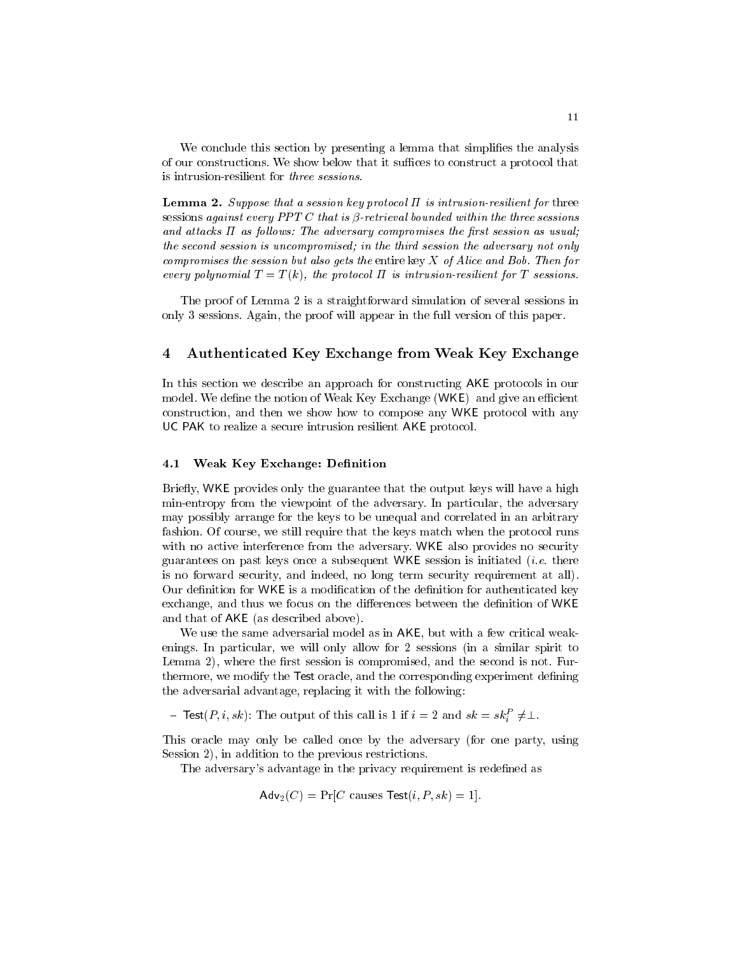We conclude this section by presenting a lemma that simplifies the analysis of our constructions. We show below that it suffices to construct a protocol that is intrusion-resilient for *three sessions*.

**Lemma 2.** Suppose that a session key protocol  $\Pi$  is intrusion-resilient for three sessions against every PPT C that is  $\beta$ -retrieval bounded within the three sessions and attacks  $\Pi$  as follows: The adversary compromises the first session as usual; the second session is uncompromised; in the third session the adversary not only compromises the session but also gets the entire key  $X$  of Alice and Bob. Then for every polynomial  $T = T(k)$ , the protocol  $\Pi$  is intrusion-resilient for T sessions.

The proof of Lemma 2 is a straightforward simulation of several sessions in only 3 sessions. Again, the proof will appear in the full version of this paper.

#### Authenticated Key Exchange from Weak Key Exchange  $\overline{\mathbf{4}}$

In this section we describe an approach for constructing AKE protocols in our model. We define the notion of Weak Key Exchange (WKE) and give an efficient construction, and then we show how to compose any WKE protocol with any UC PAK to realize a secure intrusion resilient AKE protocol.

#### 4.1 **Weak Key Exchange: Definition**

Briefly, WKE provides only the guarantee that the output keys will have a high min-entropy from the viewpoint of the adversary. In particular, the adversary may possibly arrange for the keys to be unequal and correlated in an arbitrary fashion. Of course, we still require that the keys match when the protocol runs with no active interference from the adversary. WKE also provides no security guarantees on past keys once a subsequent WKE session is initiated *(i.e.* there is no forward security, and indeed, no long term security requirement at all). Our definition for WKE is a modification of the definition for authenticated key exchange, and thus we focus on the differences between the definition of WKE and that of AKE (as described above).

We use the same adversarial model as in AKE, but with a few critical weakenings. In particular, we will only allow for 2 sessions (in a similar spirit to Lemma 2), where the first session is compromised, and the second is not. Furthermore, we modify the Test oracle, and the corresponding experiment defining the adversarial advantage, replacing it with the following:

- Test(P, i, sk): The output of this call is 1 if  $i = 2$  and  $sk = sk_i^P \neq \perp$ .

This oracle may only be called once by the adversary (for one party, using Session 2), in addition to the previous restrictions.

The adversary's advantage in the privacy requirement is redefined as

$$
Adv_2(C) = Pr[C \text{ causes Test}(i, P, sk) = 1].
$$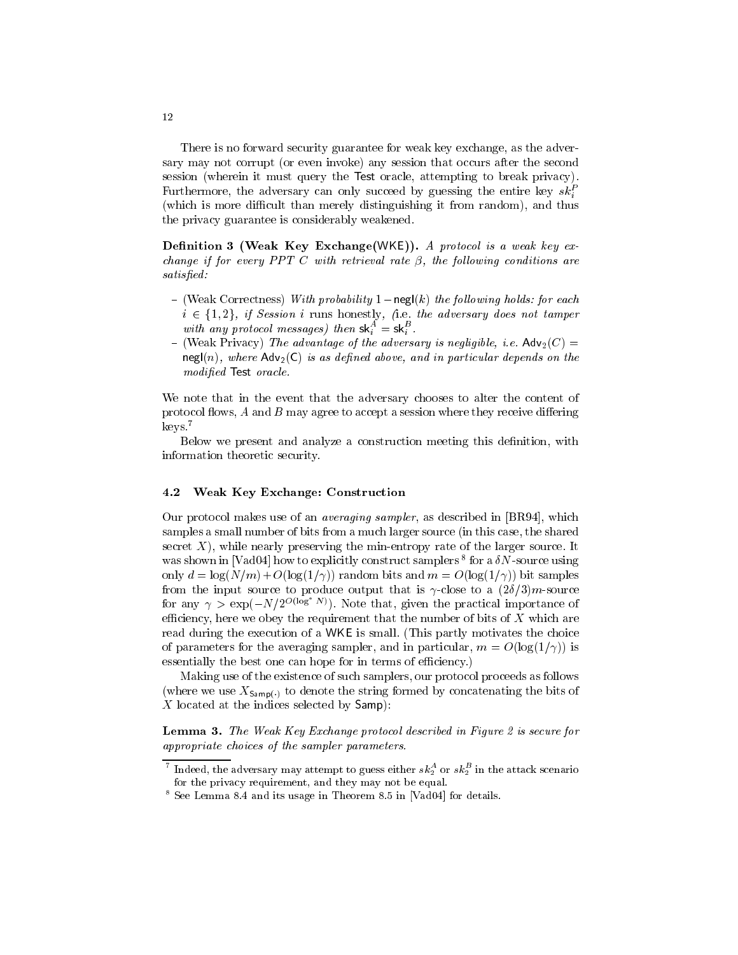There is no forward security guarantee for weak key exchange, as the adversary may not corrupt (or even invoke) any session that occurs after the second session (wherein it must query the Test oracle, attempting to break privacy). Furthermore, the adversary can only succeed by guessing the entire key  $sk_i^P$ (which is more difficult than merely distinguishing it from random), and thus the privacy guarantee is considerably weakened.

Definition 3 (Weak Key Exchange(WKE)). A protocol is a weak key exchange if for every PPT C with retrieval rate  $\beta$ , the following conditions are  $satisfied.$ 

- (Weak Correctness) With probability  $1 \text{negl}(k)$  the following holds: for each  $i \in \{1,2\}$ , if Session i runs honestly, (i.e. the adversary does not tamper with any protocol messages) then  $sk_i^A = sk_i^B$ .
- (Weak Privacy) The advantage of the adversary is negligible, i.e.  $\mathsf{Adv}_2(C)$  $negl(n)$ , where  $Adv_2(C)$  is as defined above, and in particular depends on the modified Test oracle.

We note that in the event that the adversary chooses to alter the content of protocol flows,  $A$  and  $B$  may agree to accept a session where they receive differing  $k$ evs.<sup>7</sup>

Below we present and analyze a construction meeting this definition, with information theoretic security.

#### 4.2 **Weak Key Exchange: Construction**

Our protocol makes use of an *averaging sampler*, as described in [BR94], which samples a small number of bits from a much larger source (in this case, the shared secret  $X$ ), while nearly preserving the min-entropy rate of the larger source. It was shown in [Vad04] how to explicitly construct samplers  $\delta$  for a  $\delta N$ -source using only  $d = \log(N/m) + O(\log(1/\gamma))$  random bits and  $m = O(\log(1/\gamma))$  bit samples from the input source to produce output that is  $\gamma$ -close to a  $(2\delta/3)m$ -source for any  $\gamma > \exp(-N/2^{O(\log^* N)})$ . Note that, given the practical importance of efficiency, here we obey the requirement that the number of bits of  $X$  which are read during the execution of a WKE is small. (This partly motivates the choice of parameters for the averaging sampler, and in particular,  $m = O(\log(1/\gamma))$  is essentially the best one can hope for in terms of efficiency.)

Making use of the existence of such samplers, our protocol proceeds as follows (where we use  $X_{\text{Samp}(\cdot)}$  to denote the string formed by concatenating the bits of X located at the indices selected by  $Samp$ :

**Lemma 3.** The Weak Key Exchange protocol described in Figure 2 is secure for appropriate choices of the sampler parameters.

 $\frac{7}{7}$  Indeed, the adversary may attempt to guess either  $sk_2^A$  or  $sk_2^B$  in the attack scenario for the privacy requirement, and they may not be equal.

<sup>&</sup>lt;sup>8</sup> See Lemma 8.4 and its usage in Theorem 8.5 in [Vad04] for details.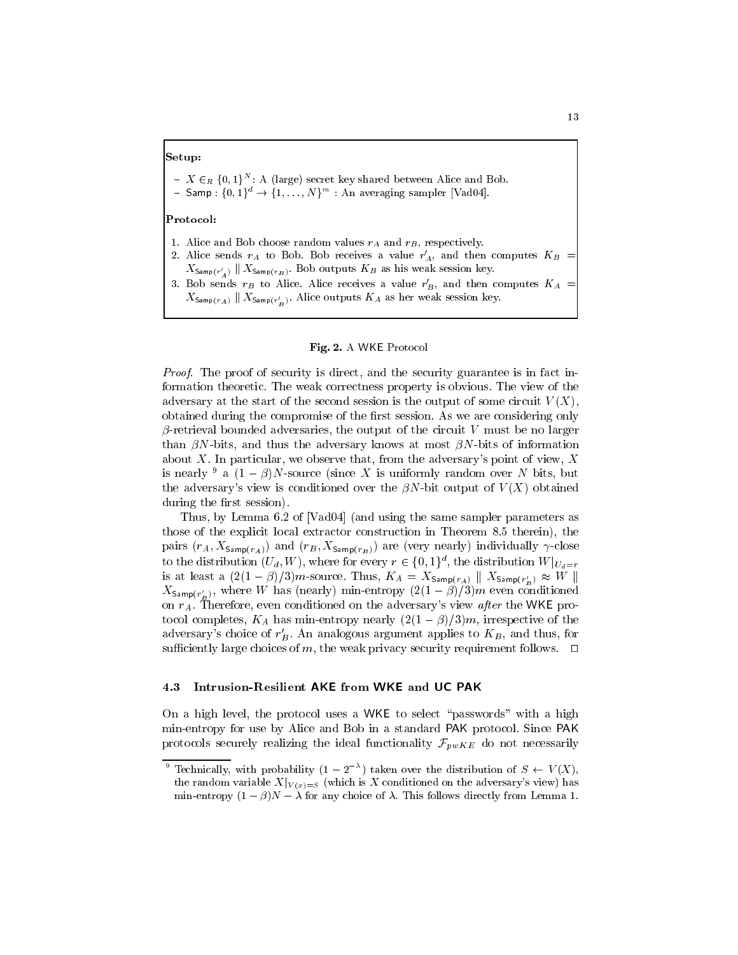### Setup:

- $X \in_R \{0,1\}^N$ : A (large) secret key shared between Alice and Bob.<br>- Samp:  $\{0,1\}^d \rightarrow \{1,\ldots,N\}^m$ : An averaging sampler [Vad04].
- 

### Protocol:

- 1. Alice and Bob choose random values  $r_A$  and  $r_B$ , respectively.
- 2. Alice sends  $r_A$  to Bob. Bob receives a value  $r'_A$ , and then computes  $K_B$  =  $X_{\text{Samp}(r'_A)}$  |  $X_{\text{Samp}(r_B)}$ . Bob outputs  $K_B$  as his weak session key.
- 3. Bob sends  $r_B$  to Alice. Alice receives a value  $r'_B$ , and then computes  $K_A$  =  $X_{\textsf{Samp}(r_A)} \parallel X_{\textsf{Samp}(r'_B)}$ . Alice outputs  $K_A$  as her weak session key.

### Fig. 2. A WKE Protocol

*Proof.* The proof of security is direct, and the security guarantee is in fact information theoretic. The weak correctness property is obvious. The view of the adversary at the start of the second session is the output of some circuit  $V(X)$ , obtained during the compromise of the first session. As we are considering only  $\beta$ -retrieval bounded adversaries, the output of the circuit V must be no larger than  $\beta N$ -bits, and thus the adversary knows at most  $\beta N$ -bits of information about X. In particular, we observe that, from the adversary's point of view,  $X$ is nearly  $9$  a  $(1 - \beta)N$ -source (since X is uniformly random over N bits, but the adversary's view is conditioned over the  $\beta N$ -bit output of  $V(X)$  obtained during the first session).

Thus, by Lemma 6.2 of [Vad04] (and using the same sampler parameters as those of the explicit local extractor construction in Theorem 8.5 therein), the pairs  $(r_A, X_{\text{Samp}(r_A)})$  and  $(r_B, X_{\text{Samp}(r_B)})$  are (very nearly) individually  $\gamma$ -close to the distribution  $(U_d, W)$ , where for every  $r \in \{0,1\}^d$ , the distribution  $W|_{U_d=r}$ is at least a  $(2(1-\beta)/3)m$ -source. Thus,  $K_A = X_{\text{Samp}(r_A)} || X_{\text{Samp}(r'_B)} \approx W ||$  $X_{\textsf{Samp}(r'_n)}$ , where W has (nearly) min-entropy  $(2(1-\beta)/3)m$  even conditioned on  $r_A$ . Therefore, even conditioned on the adversary's view *after* the WKE protocol completes,  $K_A$  has min-entropy nearly  $(2(1 - \beta)/3)m$ , irrespective of the adversary's choice of  $r'_B$ . An analogous argument applies to  $K_B$ , and thus, for sufficiently large choices of m, the weak privacy security requirement follows.  $\square$ 

#### 4.3 Intrusion-Resilient AKE from WKE and UC PAK

On a high level, the protocol uses a WKE to select "passwords" with a high min-entropy for use by Alice and Bob in a standard PAK protocol. Since PAK protocols securely realizing the ideal functionality  $\mathcal{F}_{pwKE}$  do not necessarily

<sup>&</sup>lt;sup>9</sup> Technically, with probability  $(1-2^{-\lambda})$  taken over the distribution of  $S \leftarrow V(X)$ , the random variable  $X|_{V(x)=S}$  (which is X conditioned on the adversary's view) has min-entropy  $(1 - \beta)N - \lambda$  for any choice of  $\lambda$ . This follows directly from Lemma 1.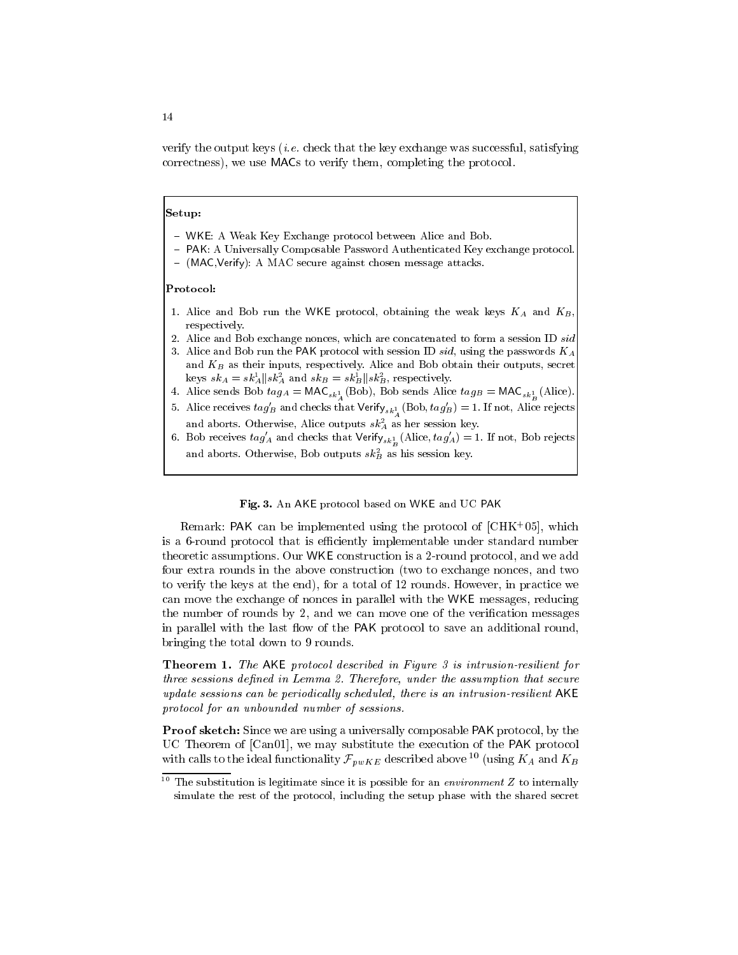verify the output keys *(i.e.* check that the key exchange was successful, satisfying correctness), we use MACs to verify them, completing the protocol.

### Setup:

- WKE: A Weak Key Exchange protocol between Alice and Bob.
- PAK: A Universally Composable Password Authenticated Key exchange protocol
- (MAC, Verify): A MAC secure against chosen message attacks.

### Protocol:

- 1. Alice and Bob run the WKE protocol, obtaining the weak keys  $K_A$  and  $K_B$ . respectively.
- 2. Alice and Bob exchange nonces, which are concatenated to form a session ID sid
- 3. Alice and Bob run the PAK protocol with session ID sid, using the passwords  $K_A$ and  $K_B$  as their inputs, respectively. Alice and Bob obtain their outputs, secret keys  $sk_A = sk_A^1 || sk_A^2$  and  $sk_B = sk_B^1 || sk_B^2$ , respectively.
- 4. Alice sends Bob  $tag_A = \text{MAC}_{sk_A^1}(\text{Bob})$ , Bob sends Alice  $tag_B = \text{MAC}_{sk_B^1}(\text{Alice})$
- 5. Alice receives  $tag_B'$  and checks that  $Verify_{sk_A^1}$  (Bob,  $tag_B^j$ ) = 1. If not, Alice rejects and aborts. Otherwise, Alice outputs  $sk_A^2$  as her session key.
- 6. Bob receives  $tag'_{A}$  and checks that  $Verify_{sk_B^1}(Alice, tag'_{A}) = 1$ . If not, Bob rejects and aborts. Otherwise, Bob outputs  $sk_B^2$  as his session key.

### Fig. 3. An AKE protocol based on WKE and UC PAK

Remark: PAK can be implemented using the protocol of  $\lbrack \text{CHK}^+05 \rbrack$ , which is a 6-round protocol that is efficiently implementable under standard number theoretic assumptions. Our WKE construction is a 2-round protocol, and we add four extra rounds in the above construction (two to exchange nonces, and two to verify the keys at the end), for a total of 12 rounds. However, in practice we can move the exchange of nonces in parallel with the WKE messages, reducing the number of rounds by 2, and we can move one of the verification messages in parallel with the last flow of the PAK protocol to save an additional round, bringing the total down to 9 rounds.

**Theorem 1.** The AKE protocol described in Figure 3 is intrusion-resilient for three sessions defined in Lemma 2. Therefore, under the assumption that secure update sessions can be periodically scheduled, there is an intrusion-resilient AKE protocol for an unbounded number of sessions.

**Proof sketch:** Since we are using a universally composable PAK protocol, by the UC Theorem of [Can01], we may substitute the execution of the PAK protocol with calls to the ideal functionality  $\mathcal{F}_{pwKE}$  described above <sup>10</sup> (using  $K_A$  and  $K_B$ 

<sup>&</sup>lt;sup>10</sup> The substitution is legitimate since it is possible for an *environment*  $Z$  to internally simulate the rest of the protocol, including the setup phase with the shared secret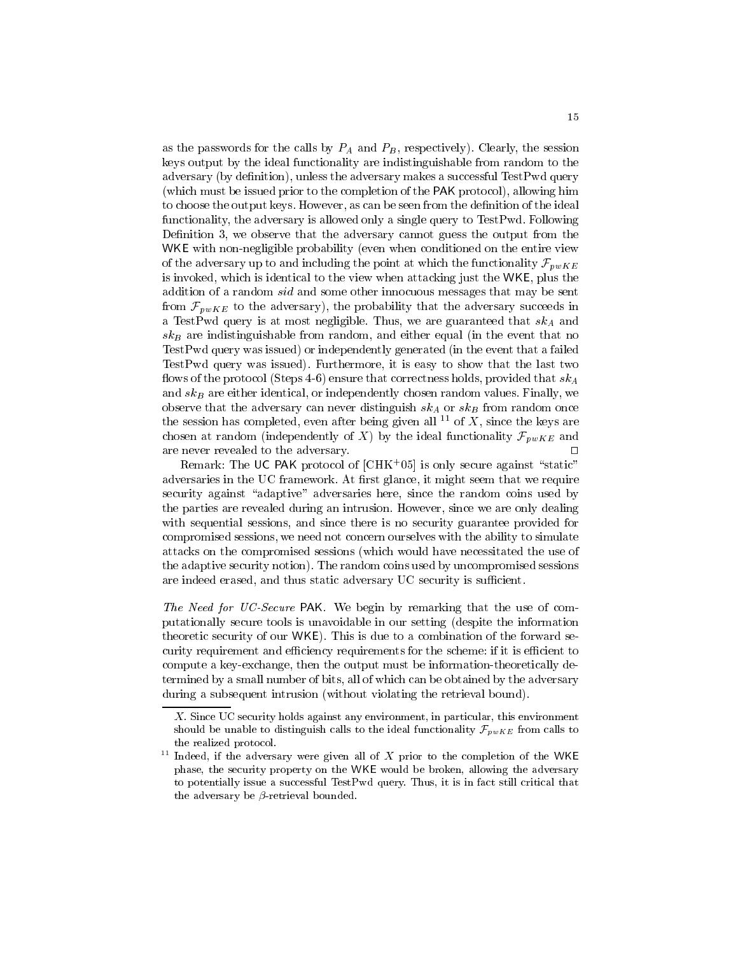as the passwords for the calls by  $P_A$  and  $P_B$ , respectively). Clearly, the session keys output by the ideal functionality are indistinguishable from random to the adversary (by definition), unless the adversary makes a successful TestPwd query (which must be issued prior to the completion of the PAK protocol), allowing him to choose the output keys. However, as can be seen from the definition of the ideal functionality, the adversary is allowed only a single query to TestPwd. Following Definition 3, we observe that the adversary cannot guess the output from the WKE with non-negligible probability (even when conditioned on the entire view of the adversary up to and including the point at which the functionality  $\mathcal{F}_{pwKE}$ is invoked, which is identical to the view when attacking just the WKE, plus the addition of a random sid and some other innocuous messages that may be sent from  $\mathcal{F}_{pwKE}$  to the adversary), the probability that the adversary succeeds in a TestPwd query is at most negligible. Thus, we are guaranteed that  $sk_A$  and  $s k_B$  are indistinguishable from random, and either equal (in the event that no TestPwd query was issued) or independently generated (in the event that a failed TestPwd query was issued). Furthermore, it is easy to show that the last two flows of the protocol (Steps 4-6) ensure that correctness holds, provided that  $sk_A$ and  $s k_B$  are either identical, or independently chosen random values. Finally, we observe that the adversary can never distinguish  $sk_A$  or  $sk_B$  from random once the session has completed, even after being given all  $^{11}$  of X, since the keys are chosen at random (independently of X) by the ideal functionality  $\mathcal{F}_{pwKE}$  and are never revealed to the adversary.  $\Box$ 

Remark: The UC PAK protocol of [CHK<sup>+</sup>05] is only secure against "static" adversaries in the UC framework. At first glance, it might seem that we require security against "adaptive" adversaries here, since the random coins used by the parties are revealed during an intrusion. However, since we are only dealing with sequential sessions, and since there is no security guarantee provided for compromised sessions, we need not concern ourselves with the ability to simulate attacks on the compromised sessions (which would have necessitated the use of the adaptive security notion). The random coins used by uncompromised sessions are indeed erased, and thus static adversary UC security is sufficient.

*The Need for UC-Secure* PAK. We begin by remarking that the use of computationally secure tools is unavoidable in our setting (despite the information theoretic security of our WKE). This is due to a combination of the forward security requirement and efficiency requirements for the scheme: if it is efficient to compute a key-exchange, then the output must be information-theoretically determined by a small number of bits, all of which can be obtained by the adversary during a subsequent intrusion (without violating the retrieval bound).

 $X$ . Since UC security holds against any environment, in particular, this environment should be unable to distinguish calls to the ideal functionality  $\mathcal{F}_{pwKE}$  from calls to the realized protocol.

 $11\,$ Indeed, if the adversary were given all of  $X$  prior to the completion of the WKE phase, the security property on the WKE would be broken, allowing the adversary to potentially issue a successful TestPwd query. Thus, it is in fact still critical that the adversary be  $\beta$ -retrieval bounded.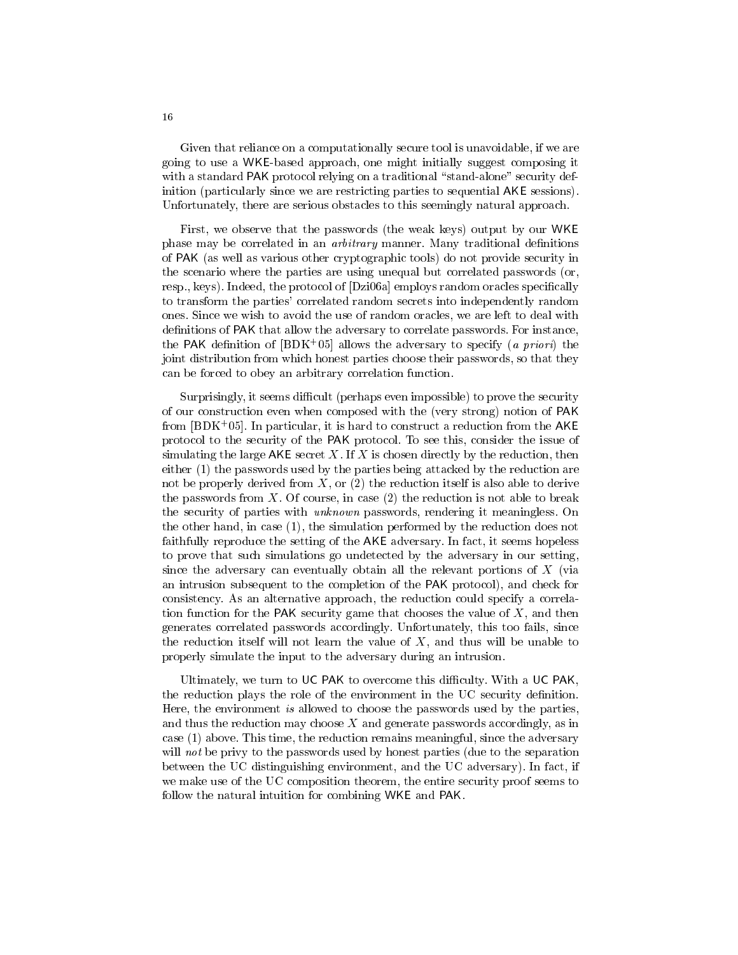Given that reliance on a computationally secure tool is unavoidable, if we are going to use a WKE-based approach, one might initially suggest composing it with a standard PAK protocol relying on a traditional "stand-alone" security definition (particularly since we are restricting parties to sequential AKE sessions). Unfortunately, there are serious obstacles to this seemingly natural approach.

First, we observe that the passwords (the weak keys) output by our WKE phase may be correlated in an *arbitrary* manner. Many traditional definitions of PAK (as well as various other cryptographic tools) do not provide security in the scenario where the parties are using unequal but correlated passwords (or, resp., keys). Indeed, the protocol of [Dzi06a] employs random oracles specifically to transform the parties' correlated random secrets into independently random ones. Since we wish to avoid the use of random oracles, we are left to deal with definitions of PAK that allow the adversary to correlate passwords. For instance, the PAK definition of  $[BDK+05]$  allows the adversary to specify (a priori) the joint distribution from which honest parties choose their passwords, so that they can be forced to obey an arbitrary correlation function.

Surprisingly, it seems difficult (perhaps even impossible) to prove the security of our construction even when composed with the (very strong) notion of PAK from [BDK+05]. In particular, it is hard to construct a reduction from the  $AKE$ protocol to the security of the PAK protocol. To see this, consider the issue of simulating the large  $AKE$  secret X. If X is chosen directly by the reduction, then either (1) the passwords used by the parties being attacked by the reduction are not be properly derived from  $X$ , or (2) the reduction itself is also able to derive the passwords from  $X$ . Of course, in case (2) the reduction is not able to break the security of parties with *unknown* passwords, rendering it meaningless. On the other hand, in case (1), the simulation performed by the reduction does not faithfully reproduce the setting of the AKE adversary. In fact, it seems hopeless to prove that such simulations go undetected by the adversary in our setting, since the adversary can eventually obtain all the relevant portions of  $X$  (via an intrusion subsequent to the completion of the PAK protocol), and check for consistency. As an alternative approach, the reduction could specify a correlation function for the PAK security game that chooses the value of  $X$ , and then generates correlated passwords accordingly. Unfortunately, this too fails, since the reduction itself will not learn the value of  $X$ , and thus will be unable to properly simulate the input to the adversary during an intrusion.

Ultimately, we turn to UC PAK to overcome this difficulty. With a UC PAK, the reduction plays the role of the environment in the UC security definition. Here, the environment is allowed to choose the passwords used by the parties, and thus the reduction may choose  $X$  and generate passwords accordingly, as in case  $(1)$  above. This time, the reduction remains meaningful, since the adversary will not be privy to the passwords used by honest parties (due to the separation between the UC distinguishing environment, and the UC adversary). In fact, if we make use of the UC composition theorem, the entire security proof seems to follow the natural intuition for combining WKE and PAK.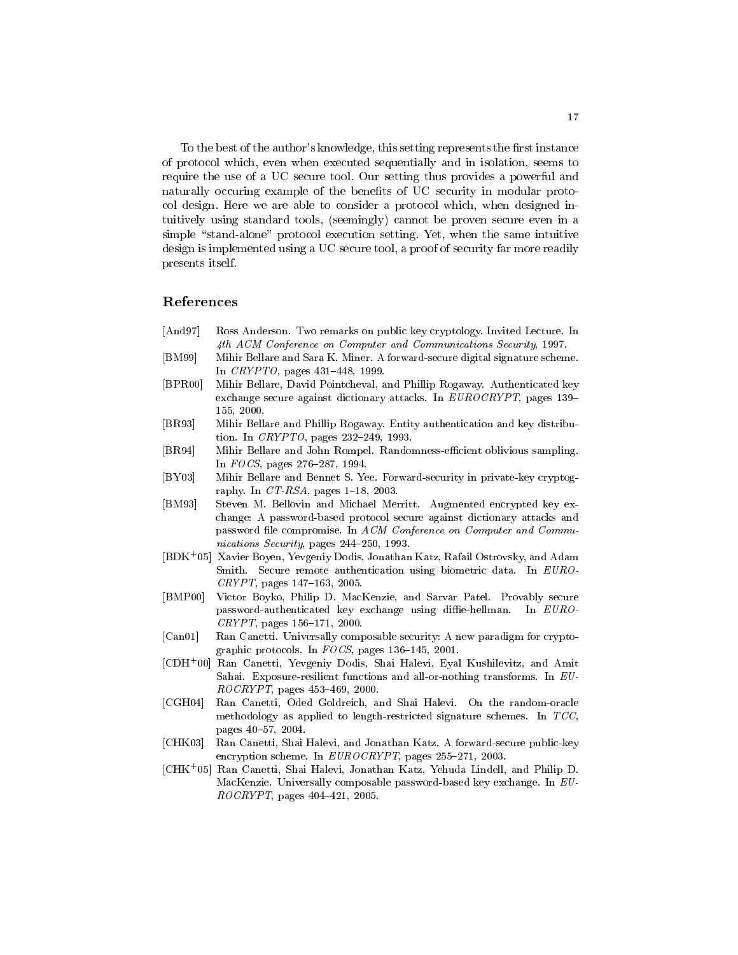To the best of the author's knowledge, this setting represents the first instance of protocol which, even when executed sequentially and in isolation, seems to require the use of a UC secure tool. Our setting thus provides a powerful and naturally occuring example of the benefits of UC security in modular protocol design. Here we are able to consider a protocol which, when designed intuitively using standard tools, (seemingly) cannot be proven secure even in a simple "stand-alone" protocol execution setting. Yet, when the same intuitive design is implemented using a UC secure tool, a proof of security far more readily presents itself.

# References

- Ross Anderson. Two remarks on public key cryptology. Invited Lecture. In  $[And97]$ 4th ACM Conference on Computer and Communications Security, 1997.
- [BM99] Mihir Bellare and Sara K. Miner. A forward-secure digital signature scheme. In *CRYPTO*, pages  $431-448$ , 1999.
- $[BPR00]$ Mihir Bellare, David Pointcheval, and Phillip Rogaway. Authenticated key exchange secure against dictionary attacks. In EUROCRYPT, pages 139-155, 2000.
- $[BR93]$ Mihir Bellare and Phillip Rogaway. Entity authentication and key distribution. In CRYPTO, pages 232-249, 1993.
- $[BR94]$ Mihir Bellare and John Rompel. Randomness efficient oblivious sampling. In FOCS, pages 276-287, 1994.
- Mihir Bellare and Bennet S. Yee. Forward-security in private key cryptog- $[BY03]$ raphy. In  $CT-RSA$ , pages 1-18, 2003.
- [BM93] Steven M. Bellovin and Michael Merritt. Augmented encrypted key exchange: A password-based protocol secure against dictionary attacks and password file compromise. In ACM Conference on Computer and Communications Security, pages 244-250, 1993.
- $[$ BDK<sup>+</sup>05 $]$ Xavier Boyen, Yevgeniy Dodis, Jonathan Katz, Rafail Ostrovsky, and Adam Smith. Secure remote authentication using biometric data. In EURO CRYPT, pages 147-163, 2005.
- Victor Boyko, Philip D. MacKenzie, and Sarvar Patel. Provably secure  $[BMP00]$ password-authenticated key exchange using diffic-hellman. In EURO- $CRYPT$ , pages 156-171, 2000.
- $[Can01]$ Ran Canetti. Universally composable security: A new paradigm for cryptographic protocols. In  $FOCS$ , pages 136-145, 2001.
- [CDH+00] Ran Canetti, Yevgeniy Dodis, Shai Halevi, Eyal Kushilevitz, and Amit Sahai. Exposure-resilient functions and all-or-nothing transforms. In EU- $ROCRYPT$ , pages 453-469, 2000.
- $[CGH04]$ Ran Canetti, Oded Goldreich, and Shai Halevi. On the random-oracle methodology as applied to length-restricted signature schemes. In TCC, pages 40-57, 2004.
- $[CHK03]$ Ran Canetti, Shai Halevi, and Jonathan Katz. A forward-secure public-key encryption scheme. In EUROCRYPT, pages 255-271, 2003.
- [CHK<sup>+</sup>05] Ran Canetti, Shai Halevi, Jonathan Katz, Yehuda Lindell, and Philip D. MacKenzie. Universally composable password-based key exchange. In EU- $ROCRYPT$ , pages 404-421, 2005.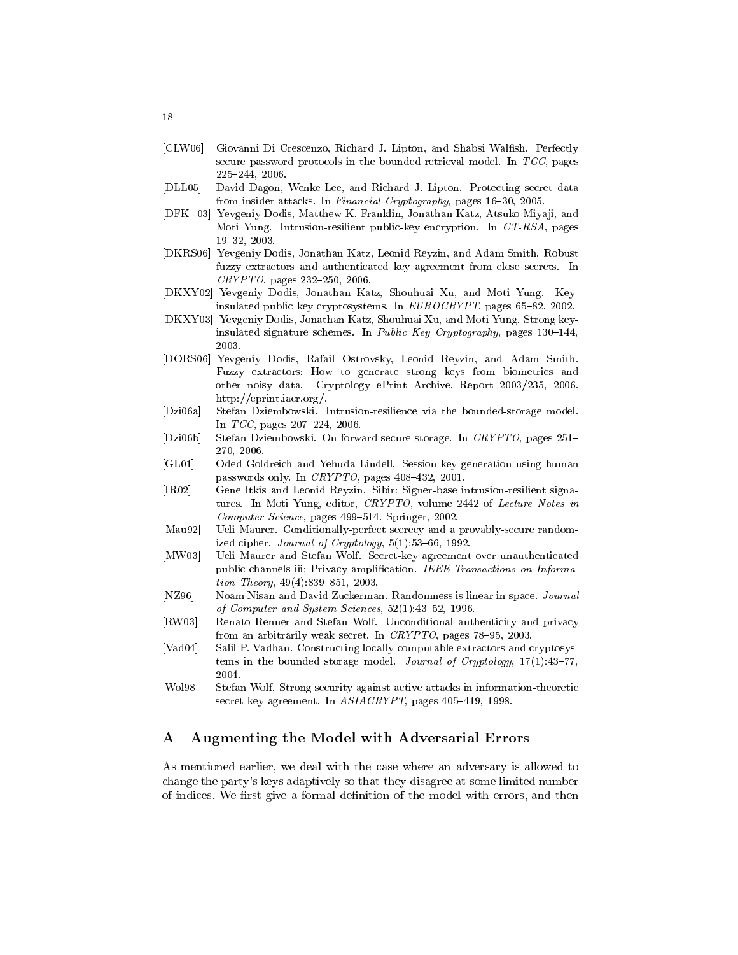- $[CLW06]$ Giovanni Di Crescenzo, Richard J. Lipton, and Shabsi Walfish. Perfectly secure password protocols in the bounded retrieval model. In TCC, pages  $225 - 244, 2006.$
- $[DLL05]$ David Dagon, Wenke Lee, and Richard J. Lipton. Protecting secret data from insider attacks. In Financial Cryptography, pages 16-30, 2005.
- [DFK<sup>+</sup>03] Yevgeniy Dodis, Matthew K. Franklin, Jonathan Katz, Atsuko Miyaji, and Moti Yung. Intrusion-resilient public-key encryption. In CT-RSA, pages  $19-32, 2003.$
- [DKRS06] Yevgeniy Dodis, Jonathan Katz, Leonid Reyzin, and Adam Smith. Robust fuzzy extractors and authenticated key agreement from close secrets. In  $CRYPTO$ , pages 232-250, 2006.
- [DKXY02] Yevgeniy Dodis, Jonathan Katz, Shouhuai Xu, and Moti Yung. Keyinsulated public key cryptosystems. In EUROCRYPT, pages 65-82, 2002.
- [DKXY03] Yevgeniy Dodis, Jonathan Katz, Shouhuai Xu, and Moti Yung. Strong keyinsulated signature schemes. In Public Key Cryptography, pages 130-144, 2003.
- [DORS06] Yevgeniy Dodis, Rafail Ostrovsky, Leonid Reyzin, and Adam Smith. Fuzzy extractors: How to generate strong keys from biometrics and other noisy data. Cryptology ePrint Archive, Report 2003/235, 2006. http://eprint.iacr.org/.
- $[Dzi06a]$ Stefan Dziembowski. Intrusion-resilience via the bounded-storage model. In  $TCC$ , pages 207-224, 2006.
- $[Dzi06b]$ Stefan Dziembowski. On forward-secure storage. In CRYPTO, pages 251-270, 2006.
- $[GL01]$ Oded Goldreich and Yehuda Lindell. Session-key generation using human passwords only. In *CRYPTO*, pages 408-432, 2001.
- $[IR02]$ Gene Itkis and Leonid Reyzin. Sibir: Signer-base intrusion-resilient signatures. In Moti Yung, editor, CRYPTO, volume 2442 of Lecture Notes in Computer Science, pages 499-514. Springer, 2002.
- [Mau92] Ueli Maurer. Conditionally-perfect secrecy and a provably-secure randomized cipher. Journal of Cryptology, 5(1):53-66, 1992.
- $[MW03]$ Ueli Maurer and Stefan Wolf. Secret-key agreement over unauthenticated public channels iii: Privacy amplification. IEEE Transactions on Information Theory,  $49(4):839-851$ , 2003.
- $[NZ96]$ Noam Nisan and David Zuckerman. Randomness is linear in space. Journal of Computer and System Sciences, 52(1):43-52, 1996.
- $[RW03]$ Renato Renner and Stefan Wolf. Unconditional authenticity and privacy from an arbitrarily weak secret. In CRYPTO, pages 78-95, 2003.
- $[Vad04]$ Salil P. Vadhan. Constructing locally computable extractors and cryptosystems in the bounded storage model. Journal of Cryptology,  $17(1):43-77$ , 2004.
- $[W<sub>0</sub>198]$ Stefan Wolf. Strong security against active attacks in information-theoretic secret-key agreement. In  $ASIACRYPT$ , pages 405-419, 1998.

#### Α Augmenting the Model with Adversarial Errors

As mentioned earlier, we deal with the case where an adversary is allowed to change the party's keys adaptively so that they disagree at some limited number of indices. We first give a formal definition of the model with errors, and then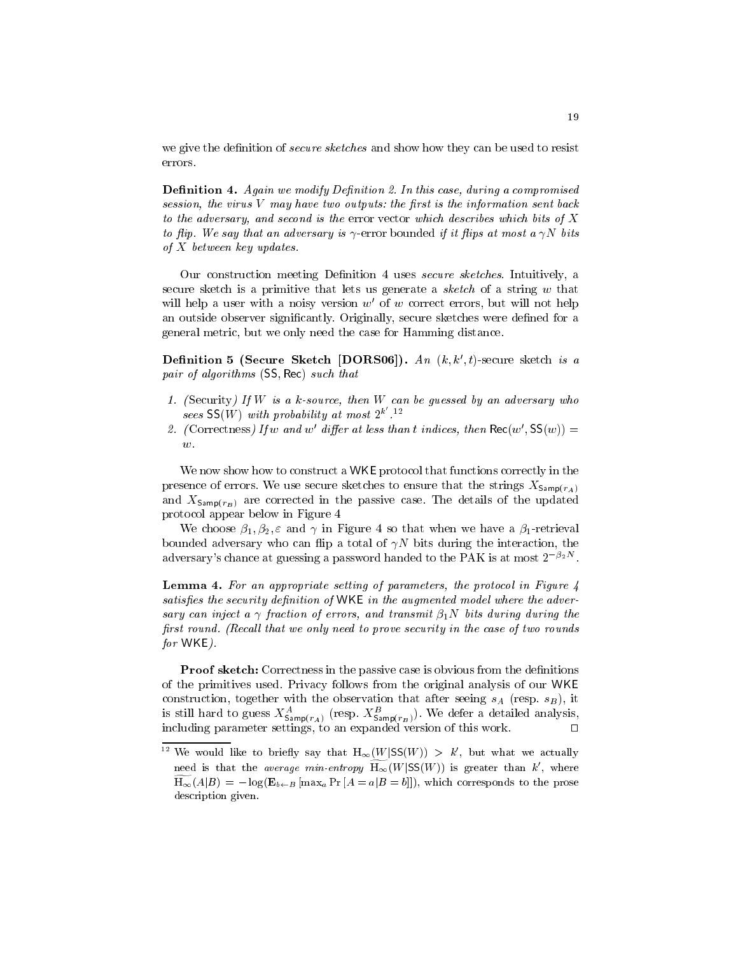we give the definition of *secure sketches* and show how they can be used to resist errors.

**Definition 4.** Again we modify Definition 2. In this case, during a compromised session, the virus  $V$  may have two outputs: the first is the information sent back to the adversary, and second is the error vector which describes which bits of X to flip. We say that an adversary is  $\gamma$ -error bounded if it flips at most a  $\gamma N$  bits of  $X$  between key updates.

Our construction meeting Definition 4 uses *secure sketches*. Intuitively, a secure sketch is a primitive that lets us generate a *sketch* of a string w that will help a user with a noisy version  $w'$  of w correct errors, but will not help an outside observer significantly. Originally, secure sketches were defined for a general metric, but we only need the case for Hamming distance.

**Definition 5 (Secure Sketch [DORS06]).** An  $(k, k', t)$ -secure sketch is a pair of algorithms (SS, Rec) such that

- 1. (Security) If W is a k-source, then W can be guessed by an adversary who sees  $SS(W)$  with probability at most  $2^{k'}$ .<sup>12</sup>
- 2. (Correctness) If w and w' differ at less than t indices, then  $Rec(w',SS(w))$  $\overline{w}$ .

We now show how to construct a WKE protocol that functions correctly in the presence of errors. We use secure sketches to ensure that the strings  $X_{\text{Samp}(r_A)}$ and  $X_{\text{Samp}(r_B)}$  are corrected in the passive case. The details of the updated protocol appear below in Figure 4

We choose  $\beta_1, \beta_2, \varepsilon$  and  $\gamma$  in Figure 4 so that when we have a  $\beta_1$ -retrieval bounded adversary who can flip a total of  $\gamma N$  bits during the interaction, the adversary's chance at guessing a password handed to the PAK is at most  $2^{-\beta_2 N}$ .

**Lemma 4.** For an appropriate setting of parameters, the protocol in Figure 4 satisfies the security definition of WKE in the augmented model where the adversary can inject a  $\gamma$  fraction of errors, and transmit  $\beta_1 N$  bits during during the first round. (Recall that we only need to prove security in the case of two rounds  $for$  WKE).

**Proof sketch:** Correctness in the passive case is obvious from the definitions of the primitives used. Privacy follows from the original analysis of our WKE construction, together with the observation that after seeing  $s_A$  (resp.  $s_B$ ), it is still hard to guess  $X_{\text{Samp}(r_A)}^A$  (resp.  $X_{\text{Samp}(r_B)}^B$ ). We defer a detailed analysis, including parameter settings, to an expanded version of this work.

<sup>&</sup>lt;sup>12</sup> We would like to briefly say that  $H_{\infty}(W|SS(W)) > k'$ , but what we actually need is that the *average min-entropy*  $H_{\infty}(W|SS(W))$  is greater than k', where  $\widetilde{H_{\infty}}(A|B) = -\log(E_{b \leftarrow B} [\max_a \Pr[A = a|B = b]]),$  which corresponds to the prose description given.